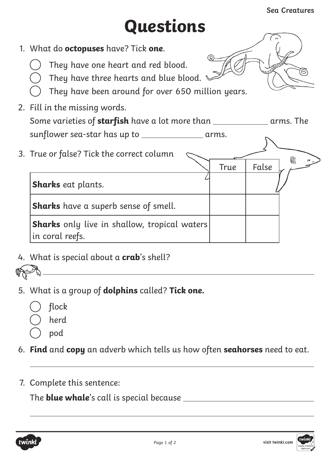∭

## **Questions**

- 1. What do **octopuses** have? Tick **one**.
	- They have one heart and red blood.
	- They have three hearts and blue blood.
	- They have been around for over 650 million years.
- 2. Fill in the missing words.

| Some varieties of starfish have a lot more than |       | arms. The |
|-------------------------------------------------|-------|-----------|
| sunflower sea-star has up to                    | arms. |           |

3. True or false? Tick the correct column

True | False **Sharks** eat plants. **Sharks** have a superb sense of smell. **Sharks** only live in shallow, tropical waters in coral reefs.

4. What is special about a **crab**'s shell?



5. What is a group of **dolphins** called? **Tick one.**



- herd
- pod
- 6. **Find** and **copy** an adverb which tells us how often **seahorses** need to eat.
- 7. Complete this sentence:

The **blue whale**'s call is special because

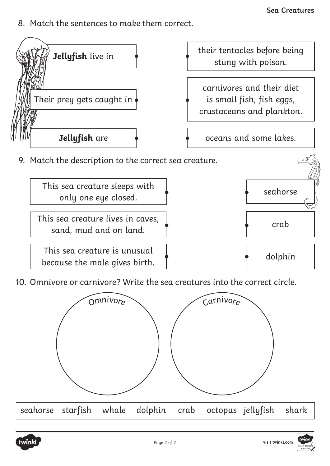8. Match the sentences to make them correct.



This sea creature lives in caves, s sea creature tives in eaves,  $\begin{matrix} 1 \\ 2 \end{matrix}$  erab crab

This sea creature is unusual  $\begin{array}{ccc}\n\bullet & \bullet & \bullet \\
\bullet & \bullet & \bullet\n\end{array}$  dolphin

10. Omnivore or carnivore? Write the sea creatures into the correct circle.



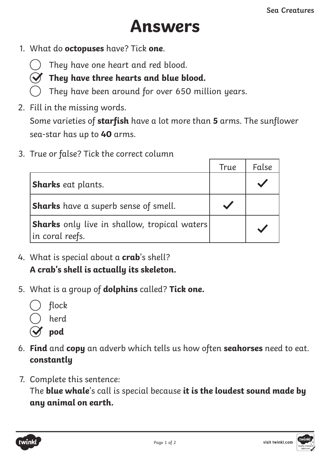## **Answers**

1. What do **octopuses** have? Tick **one**.



## $\mathcal Y$  They have three hearts and blue blood.

- They have been around for over 650 million years.
- 2. Fill in the missing words.

Some varieties of **starfish** have a lot more than **5** arms. The sunflower sea-star has up to **40** arms.

3. True or false? Tick the correct column

|                                                                          | <b>True</b> | False |
|--------------------------------------------------------------------------|-------------|-------|
| <b>Sharks</b> eat plants.                                                |             |       |
| <b>Sharks</b> have a superb sense of smell.                              |             |       |
| <b> Sharks</b> only live in shallow, tropical waters <br>in coral reefs. |             |       |

- 4. What is special about a **crab**'s shell? **A crab's shell is actually its skeleton.**
- 5. What is a group of **dolphins** called? **Tick one.**



- **pod**
- 6. **Find** and **copy** an adverb which tells us how often **seahorses** need to eat. **constantly**
- 7. Complete this sentence:

The **blue whale**'s call is special because **it is the loudest sound made by any animal on earth.**